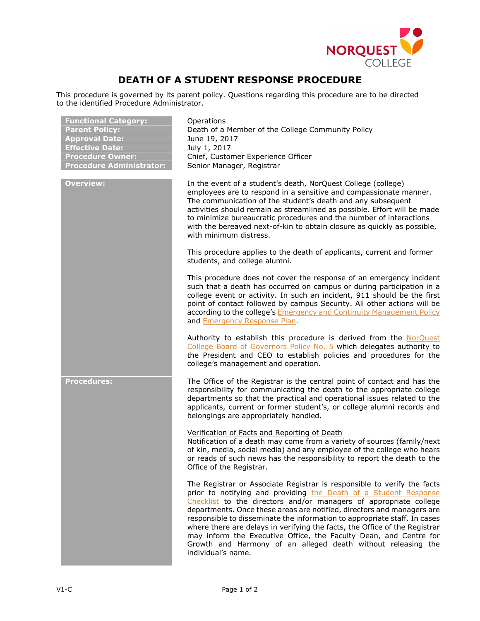

## **DEATH OF A STUDENT RESPONSE PROCEDURE**

This procedure is governed by its parent policy. Questions regarding this procedure are to be directed to the identified Procedure Administrator.

| <b>Functional Category:</b><br><b>Parent Policy:</b><br><b>Approval Date:</b><br><b>Effective Date:</b><br><b>Procedure Owner:</b><br><b>Procedure Administrator:</b> | Operations<br>Death of a Member of the College Community Policy<br>June 19, 2017<br>July 1, 2017<br>Chief, Customer Experience Officer<br>Senior Manager, Registrar                                                                                                                                                                                                                                                                                                                                                                                                                                              |
|-----------------------------------------------------------------------------------------------------------------------------------------------------------------------|------------------------------------------------------------------------------------------------------------------------------------------------------------------------------------------------------------------------------------------------------------------------------------------------------------------------------------------------------------------------------------------------------------------------------------------------------------------------------------------------------------------------------------------------------------------------------------------------------------------|
| <b>Overview:</b>                                                                                                                                                      | In the event of a student's death, NorQuest College (college)<br>employees are to respond in a sensitive and compassionate manner.<br>The communication of the student's death and any subsequent<br>activities should remain as streamlined as possible. Effort will be made<br>to minimize bureaucratic procedures and the number of interactions<br>with the bereaved next-of-kin to obtain closure as quickly as possible,<br>with minimum distress.                                                                                                                                                         |
|                                                                                                                                                                       | This procedure applies to the death of applicants, current and former<br>students, and college alumni.                                                                                                                                                                                                                                                                                                                                                                                                                                                                                                           |
|                                                                                                                                                                       | This procedure does not cover the response of an emergency incident<br>such that a death has occurred on campus or during participation in a<br>college event or activity. In such an incident, 911 should be the first<br>point of contact followed by campus Security. All other actions will be<br>according to the college's <b>Emergency and Continuity Management Policy</b><br>and <b>Emergency Response Plan</b> .                                                                                                                                                                                       |
|                                                                                                                                                                       | Authority to establish this procedure is derived from the NorQuest<br>College Board of Governors Policy No. 5 which delegates authority to<br>the President and CEO to establish policies and procedures for the<br>college's management and operation.                                                                                                                                                                                                                                                                                                                                                          |
| <b>Procedures:</b>                                                                                                                                                    | The Office of the Registrar is the central point of contact and has the<br>responsibility for communicating the death to the appropriate college<br>departments so that the practical and operational issues related to the<br>applicants, current or former student's, or college alumni records and<br>belongings are appropriately handled.                                                                                                                                                                                                                                                                   |
|                                                                                                                                                                       | Verification of Facts and Reporting of Death<br>Notification of a death may come from a variety of sources (family/next<br>of kin, media, social media) and any employee of the college who hears<br>or reads of such news has the responsibility to report the death to the<br>Office of the Registrar.                                                                                                                                                                                                                                                                                                         |
|                                                                                                                                                                       | The Registrar or Associate Registrar is responsible to verify the facts<br>prior to notifying and providing the Death of a Student Response<br>Checklist to the directors and/or managers of appropriate college<br>departments. Once these areas are notified, directors and managers are<br>responsible to disseminate the information to appropriate staff. In cases<br>where there are delays in verifying the facts, the Office of the Registrar<br>may inform the Executive Office, the Faculty Dean, and Centre for<br>Growth and Harmony of an alleged death without releasing the<br>individual's name. |